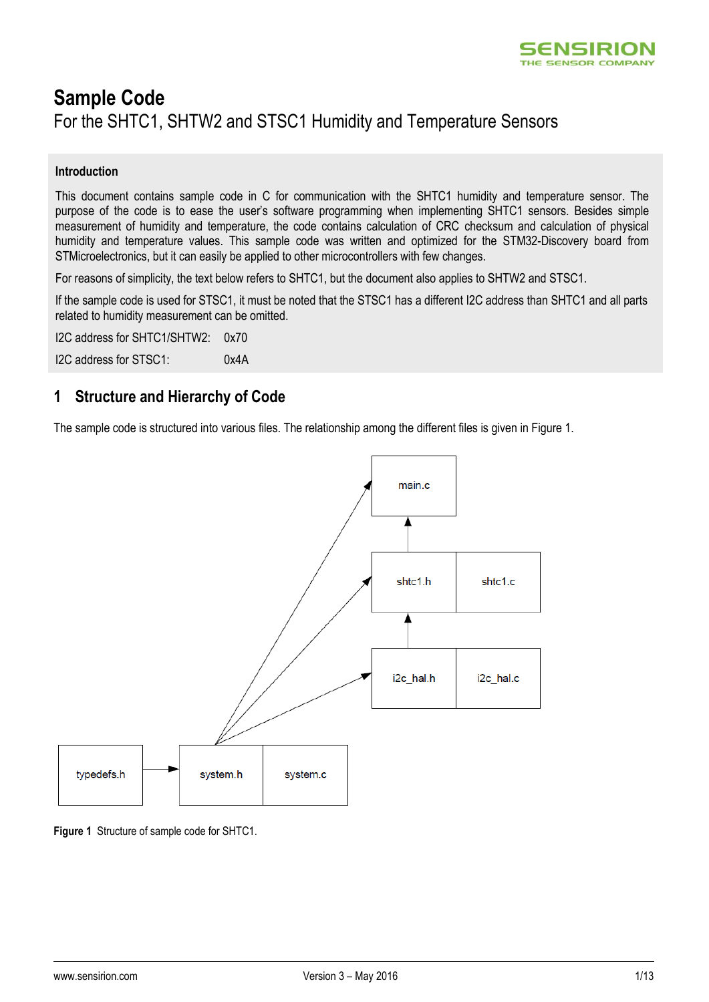

# **Sample Code** For the SHTC1, SHTW2 and STSC1 Humidity and Temperature Sensors

# **Introduction**

This document contains sample code in C for communication with the SHTC1 humidity and temperature sensor. The purpose of the code is to ease the user's software programming when implementing SHTC1 sensors. Besides simple measurement of humidity and temperature, the code contains calculation of CRC checksum and calculation of physical humidity and temperature values. This sample code was written and optimized for the STM32-Discovery board from STMicroelectronics, but it can easily be applied to other microcontrollers with few changes.

For reasons of simplicity, the text below refers to SHTC1, but the document also applies to SHTW2 and STSC1.

If the sample code is used for STSC1, it must be noted that the STSC1 has a different I2C address than SHTC1 and all parts related to humidity measurement can be omitted.

I2C address for SHTC1/SHTW2: 0x70 I2C address for STSC1: 0x4A

# **1 Structure and Hierarchy of Code**

The sample code is structured into various files. The relationship among the different files is given in Figure 1.



**Figure 1** Structure of sample code for SHTC1.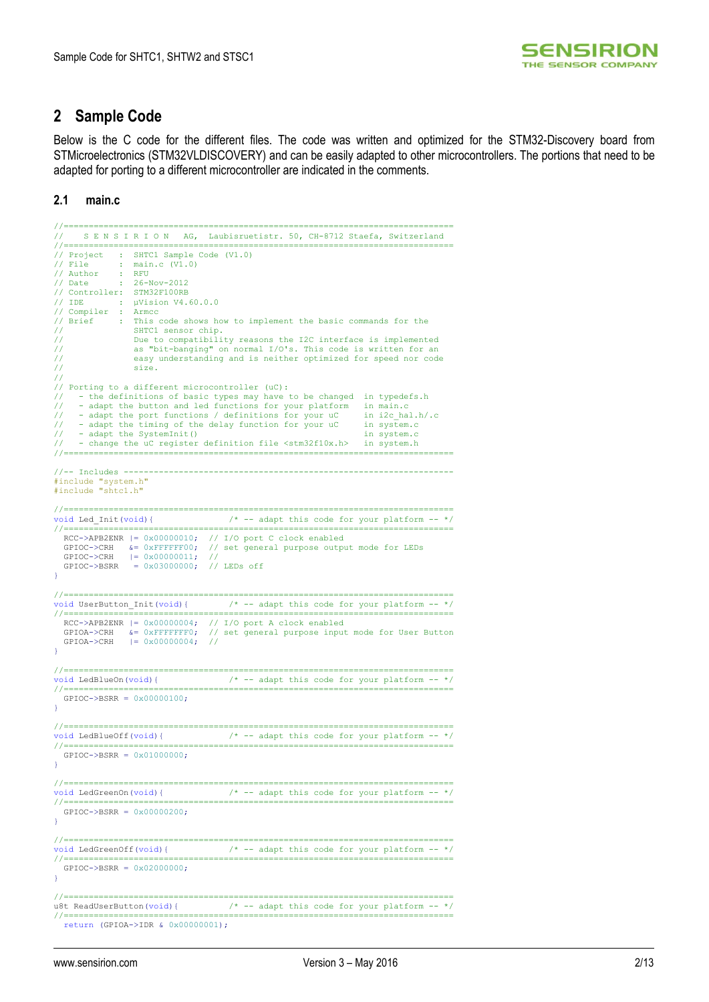

# **2 Sample Code**

Below is the C code for the different files. The code was written and optimized for the STM32-Discovery board from STMicroelectronics (STM32VLDISCOVERY) and can be easily adapted to other microcontrollers. The portions that need to be adapted for porting to a different microcontroller are indicated in the comments.

**2.1 main.c**

```
//==============================================================================
      S E N S I R I O N AG, Laubisruetistr. 50, CH-8712 Staefa, Switzerland
//==============================================================================
)<br>// Project : SHTC1 Sample Code (V1.0)<br>// File : main.c (V1.0)
                 : main.c (V1.0)
// Author : RFU
// Date : 26-Nov-2012
// Controller: STM32F100RB
// IDE : µVision V4.60.0.0
// Compiler : Armcc
// Brief : This code shows how to implement the basic commands for the
                     SHTC1 sensor chip.
// Due to compatibility reasons the I2C interface is implemented
// as "bit-banging" on normal I/O's. This code is written for an
                      easy understanding and is neither optimized for speed nor code
                      size.//
   Porting to a different microcontroller (uC):
// - the definitions of basic types may have to be changed in typedefs.h<br>// - adapt the button and led functions for your platform in main.c<br>// - adapt the port functions / definitions for your uC in i2c_hal.h/.c<br>// - adap
// - adapt the SystemInit() in system.c
// - change the uC register definition file <stm32f10x.h> in system.h
//==============================================================================
//-- Includes ------------------------------------------------------------------
#include "system.h"
#include "shtc1.h"
//==============================================================================
void Led_Init(void){ /* -- adapt this code for your platform -- */
//==============================================================================
 RCC->APB2ENR |= 0x00000010; // I/O port C clock enabled
 GPIOC->CRH &= 0xFFFFFF00; // set general purpose output mode for LEDs
 GPIOC->CRH |= 0x00000011; //
 GPIOC->BSRR = 0x03000000; // LEDs off
}
//==============================================================================
                                              v^* -- adapt this code for your platform -- */
//==============================================================================
 RCC->APB2ENR |= 0x00000004; // I/O port A clock enabled
 GPIOA->CRH &= 0xFFFFFFF0; // set general purpose input mode for User Button
 GPIOA->CRH |= 0x00000004; //
}
//==============================================================================
void LedBlueOn(void){ \frac{1}{2} /* -- adapt this code for your platform -- */
//==============================================================================
   GPIOC->BSRR = 0x00000100;
}
//==============================================================================
\frac{1}{\sqrt{1-\frac{1}{\sqrt{1-\frac{1}{\sqrt{1-\frac{1}{\sqrt{1-\frac{1}{\sqrt{1-\frac{1}{\sqrt{1-\frac{1}{\sqrt{1-\frac{1}{\sqrt{1-\frac{1}{\sqrt{1-\frac{1}{\sqrt{1-\frac{1}{\sqrt{1-\frac{1}{\sqrt{1-\frac{1}{\sqrt{1-\frac{1}{\sqrt{1-\frac{1}{\sqrt{1-\frac{1}{\sqrt{1-\frac{1}{\sqrt{1-\frac{1}{\sqrt{1-\frac{1}{\sqrt{1-\frac{1}{\sqrt{1-\frac{1}{\sqrt{1-\frac{1}{\sqrt{1-\frac{1}{\sqrt{1-\frac{1}{\sqrt{1-\frac{1//==============================================================================
  GPTOC->BSRR = 0x01000000}
//==============================================================================
void LedGreenOn(void){ \frac{1}{2} /* -- adapt this code for your platform -- */
//==============================================================================
   GPIOC->BSRR = 0x00000200;
}
//==============================================================================
void LedGreenOff(void){ \frac{1}{2} + -- adapt this code for your platform -- */
//==============================================================================
  GPIOC->BSRR = 0x02000000;}
//==============================================================================
u8t ReadUserButton(void){ /* -- adapt this code for your platform -- */
//==============================================================================
   return (GPIOA->IDR & 0x00000001);
```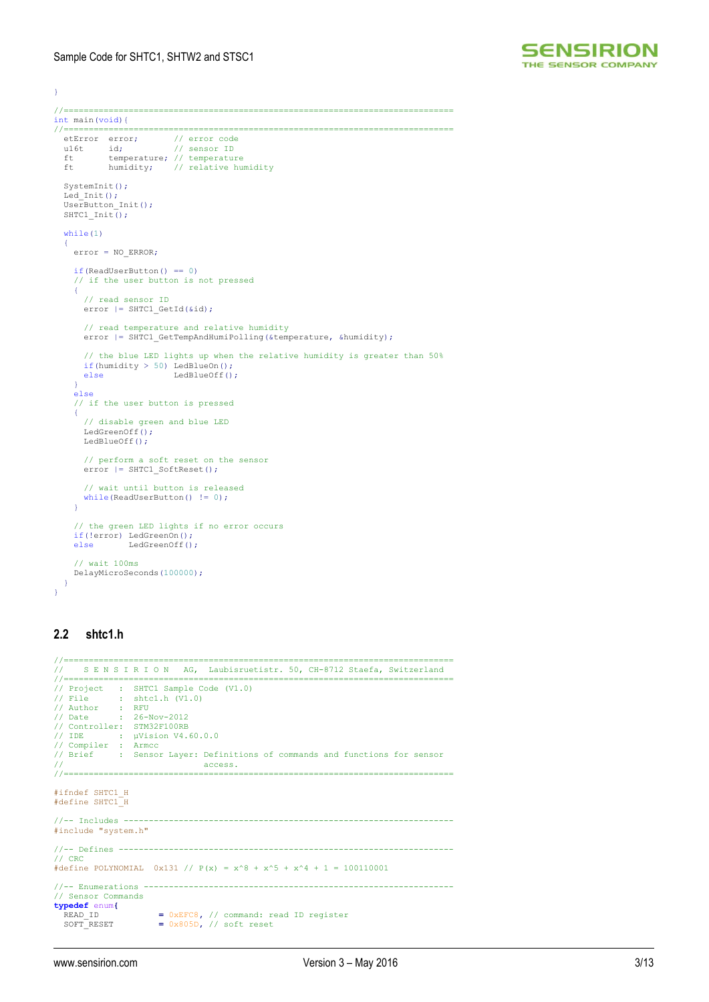

```
}
//==============================================================================
int main(void){<br>//==============
                         //==============================================================================
  etError error;
 u16t id; // sensor ID
 ft temperature; // temperature
 ft humidity; // relative humidity
   SystemInit();
Led_Init();<br>UserButton Init();
  SHTC1_Init();
  while(1)\rightarrow {
     error = NO_ERROR;
     if(ReadUserButton() == 0)
       // if the user button is not pressed
     {
       // read sensor ID
       error |= SHTC1_GetId(&id);
       // read temperature and relative humidity
      error | = SHTC1 GetTempAndHumiPolling(&temperature, &humidity);
       // the blue LED lights up when the relative humidity is greater than 50%
 if(humidity > 50) LedBlueOn();
 else LedBlueOff();
 }
     else
     // if the user button is pressed
     {
       // disable green and blue LED
      LedGreenOff();
      LedBlueOff();
       // perform a soft reset on the sensor
       error |= SHTC1_SoftReset();
       // wait until button is released
      while(ReadUserButton() != 0);
    \mathbf{A} // the green LED lights if no error occurs
     if(!error) LedGreenOn();
     else LedGreenOff();
      // wait 100ms
     DelayMicroSeconds(100000);
   }
}
```
# **2.2 shtc1.h**

```
//=================================
// S E N S I R I O N AG, Laubisruetistr. 50, CH-8712 Staefa, Switzerland
//==============================================================================
// Project : SHTC1 Sample Code (V1.0)
// File : shtc1.h (V1.0)<br>// Author : RFU<br>// Date : 26-Nov-2012<br>// Controller: STM32F100RB
// IDE : µVision V4.60.0.0
// Compiler : Armcc
// Brief : Sensor Layer: Definitions of commands and functions for sensor
                                    access.
//==============================================================================
#ifndef SHTC1_H
#define SHTC1_H
//-- Includes --#include "system.h"
//-- Defines -------------------------------------------------------------------
\frac{1}{1} CRC
#define POLYNOMIAL 0x131 // P(x) = x^8 + x^5 + x^4 + 1 = 100110001
//-- Enumerations --------------------------------------------------------------
// Sensor Commands
typedef enum{
 READ_ID = 0xEFC8, // command: read ID register
 SOFT_RESET = 0x805D, // soft reset
```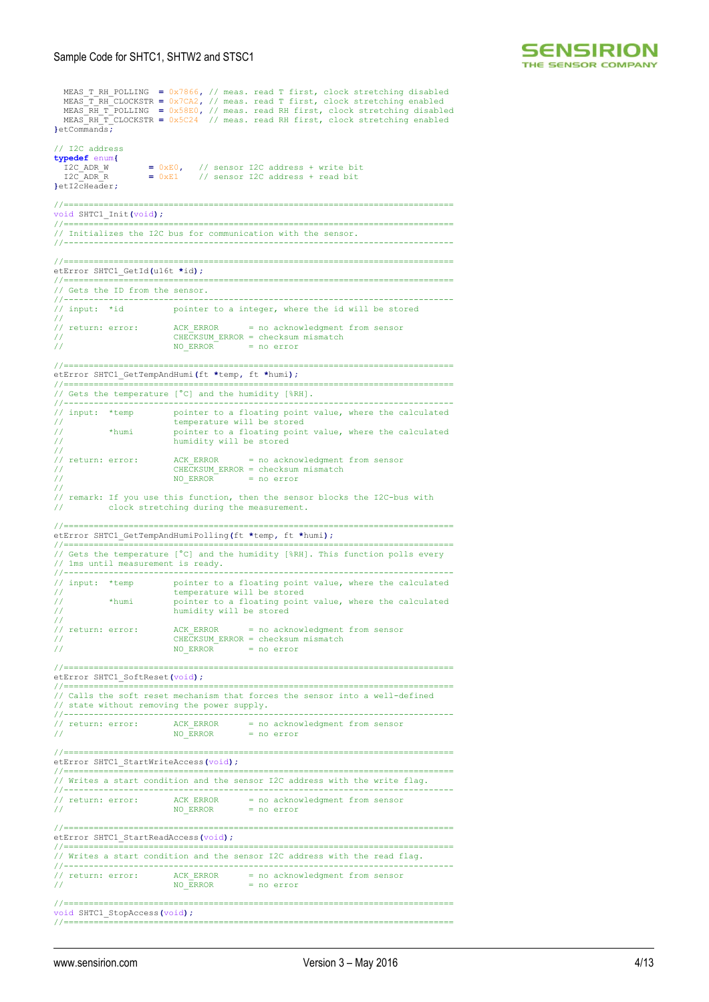

MEAS\_T\_RH\_POLLING =  $0x7866$ , // meas. read T first, clock stretching disabled<br>MEAS\_T\_RH\_CLOCKSTR =  $0x7CA2$ , // meas. read T first, clock stretching enabled<br>MEAS\_RH\_T\_POLLING =  $0x58E0$ , // meas. read RH first, clock str **}**etCommands**;** // I2C address **typedef** enum**{** I2C\_ADR\_W **=** 0xE0**,** // sensor I2C address + write bit I2C\_ADR\_R **=** 0xE1 // sensor I2C address + read bit **}**etI2cHeader**;** //============================================================================== void SHTC1\_Init**(**void**);** //============================================================================== // Initializes the I2C bus for communication with the sensor. //------------------------------------------------------------------------------  $\frac{1}{2}$ etError SHTC1\_GetId**(**u16t **\***id**);** //============================================================================== // Gets the ID from the sensor. //------------------------------------------------------------------------------ // input: \*id pointer to a integer, where the id will be stored // // return: error: ACK ERROR = no acknowledgment from sensor CHECKSUM ERROR = checksum mismatch<br>NO ERROR = no error // NO\_ERROR = no error //============================================================================== etError SHTC1\_GetTempAndHumi**(**ft **\***temp**,** ft **\***humi**);** //============================================================================== // Gets the temperature [°C] and the humidity [%RH]. //------------------------------------------------------------------------------ // input: \*temp pointer to a floating point value, where the calculated temperature will be stored // \*humi pointer to a floating point value, where the calculated humidity will be stored // // return: error: ACK ERROR = no acknowledgment from sensor // CHECKSUM\_ERROR = checksum mismatch // NO\_ERROR = no error // remark: If you use this function, then the sensor blocks the I2C-bus with clock stretching during the measurement. //============================================================================== etError SHTC1\_GetTempAndHumiPolling**(**ft **\***temp**,** ft **\***humi**);** //============================================================================== // Gets the temperature [°C] and the humidity [%RH]. This function polls every // 1ms until measurement is ready. //------------------------------------------------------------------------------ // input: \*temp pointer to a floating point value, where the calculated temperature will be stored<br>
\*humi pointer to a floating point pointer to a floating point value, where the calculated humidity will be stored // // return: error: ACK\_ERROR = no acknowledgment from sensor // CHECKSUM\_ERROR = checksum mismatch  $\frac{1}{10}$  NO ERROR = no error //============================================================================== etError SHTC1\_SoftReset**(**void**);** //============================================================================== // Calls the soft reset mechanism that forces the sensor into a well-defined state without removing the power supply. //------------------------------------------------------------------------------ // return: error: ACK\_ERROR = no acknowledgment from sensor // NO\_ERROR = no error //============================================================================== etError SHTC1\_StartWriteAccess**(**void**);** //============================================================================== // Writes a start condition and the sensor I2C address with the write flag. //------------------------------------------------------------------------------ // return: error: ACK\_ERROR = no acknowledgment from sensor // NO\_ERROR = no error //============================================================================== etError SHTC1\_StartReadAccess**(**void**);** //============================================================================== // Writes a start condition and the sensor I2C address with the read flag. //------------------------------------------------------------------------------ // return: error: ACK\_ERROR = no acknowledgment from sensor // NO\_ERROR = no error //============================================================================== void SHTC1\_StopAccess**(**void**);** //==============================================================================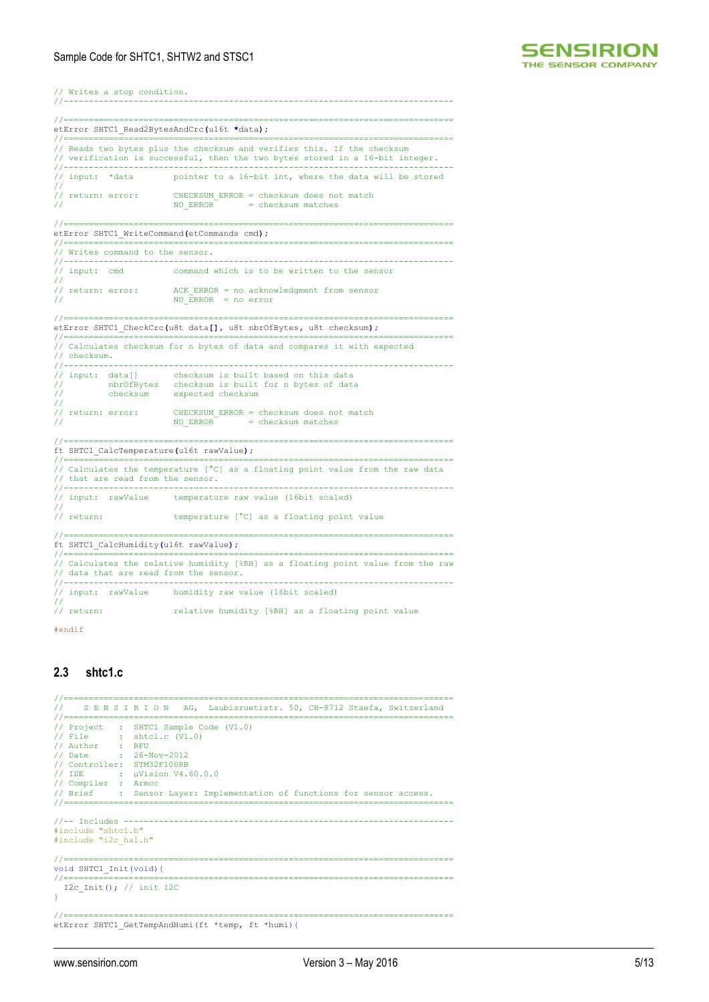

// Writes a stop condition.

|                                                                                                                                              |                                   | etError SHTC1 Read2BytesAndCrc(u16t *data);                                                                                                              |  |  |  |
|----------------------------------------------------------------------------------------------------------------------------------------------|-----------------------------------|----------------------------------------------------------------------------------------------------------------------------------------------------------|--|--|--|
|                                                                                                                                              |                                   | // Reads two bytes plus the checksum and verifies this. If the checksum<br>// verification is successful, then the two bytes stored in a 16-bit integer. |  |  |  |
| $\prime\prime$                                                                                                                               | // input: *data                   | pointer to a 16-bit int, where the data will be stored                                                                                                   |  |  |  |
|                                                                                                                                              | // return: error:                 | CHECKSUM ERROR = checksum does not match<br>NO ERROR = checksum matches                                                                                  |  |  |  |
|                                                                                                                                              |                                   | etError SHTC1 WriteCommand(etCommands cmd);                                                                                                              |  |  |  |
| // Writes command to the sensor.<br>//-----------<br>.                                                                                       |                                   |                                                                                                                                                          |  |  |  |
| // input: cmd                                                                                                                                |                                   | command which is to be written to the sensor                                                                                                             |  |  |  |
|                                                                                                                                              | // return: error:                 | ACK ERROR = no acknowledgment from sensor<br>NO ERROR = $no error$                                                                                       |  |  |  |
|                                                                                                                                              |                                   | etError SHTC1 CheckCrc(u8t data[], u8t nbrOfBytes, u8t checksum);                                                                                        |  |  |  |
|                                                                                                                                              |                                   |                                                                                                                                                          |  |  |  |
| // checksum.<br>$11 - -$                                                                                                                     |                                   | // Calculates checksum for n bytes of data and compares it with expected                                                                                 |  |  |  |
| $\prime\prime$<br>77<br>$\prime\prime$                                                                                                       | // input: data[]                  | checksum is built based on this data<br>nbrOfBytes checksum is built for n bytes of data<br>checksum expected checksum                                   |  |  |  |
| 77                                                                                                                                           | // return: error:                 | CHECKSUM ERROR = checksum does not match<br>NO ERROR<br>= checksum matches                                                                               |  |  |  |
|                                                                                                                                              |                                   | ft SHTC1 CalcTemperature(u16t rawValue);                                                                                                                 |  |  |  |
|                                                                                                                                              |                                   |                                                                                                                                                          |  |  |  |
| //------------                                                                                                                               | // that are read from the sensor. | // Calculates the temperature [°C] as a floating point value from the raw data                                                                           |  |  |  |
| $\prime\prime$                                                                                                                               | // input: rawValue                | temperature raw value (16bit scaled)                                                                                                                     |  |  |  |
| // return:                                                                                                                                   |                                   | temperature [°C] as a floating point value                                                                                                               |  |  |  |
| ft SHTC1 CalcHumidity(u16t rawValue);                                                                                                        |                                   |                                                                                                                                                          |  |  |  |
| // Calculates the relative humidity [%RH] as a floating point value from the raw<br>// data that are read from the sensor.<br>//------------ |                                   |                                                                                                                                                          |  |  |  |
|                                                                                                                                              | // input: rawValue                | humidity raw value (16bit scaled)                                                                                                                        |  |  |  |
| // return:                                                                                                                                   |                                   | relative humidity [%RH] as a floating point value                                                                                                        |  |  |  |

#endif

# **2.3 shtc1.c**

```
//==============================================================================
// S E N S I R I O N AG, Laubisruetistr. 50, CH-8712 Staefa, Switzerland
//=======================
// Project : SHTC1 Sample Code (V1.0)
// File : shtc1.c (V1.0)<br>// Author : RFU<br>// Date : 26-Nov-2012<br>// Controller: STM32F100RB
// IDE : µVision V4.60.0.0
// Compiler : Armcc
// Brief : Sensor Layer: Implementation of functions for sensor access.
//==============================================================================
//-- Includes ------------------------------------------------------------------
#include "shtc1.h"
#include "i2c_hal.h"
//==============================================================================
void SHTC1 Init(void){<br>//=====================
                                           //==============================================================================
    I2c_Init(); // init I2C
\mathbf{A}//==============================================================================
etError SHTC1 GetTempAndHumi(ft *temp, ft *humi){
```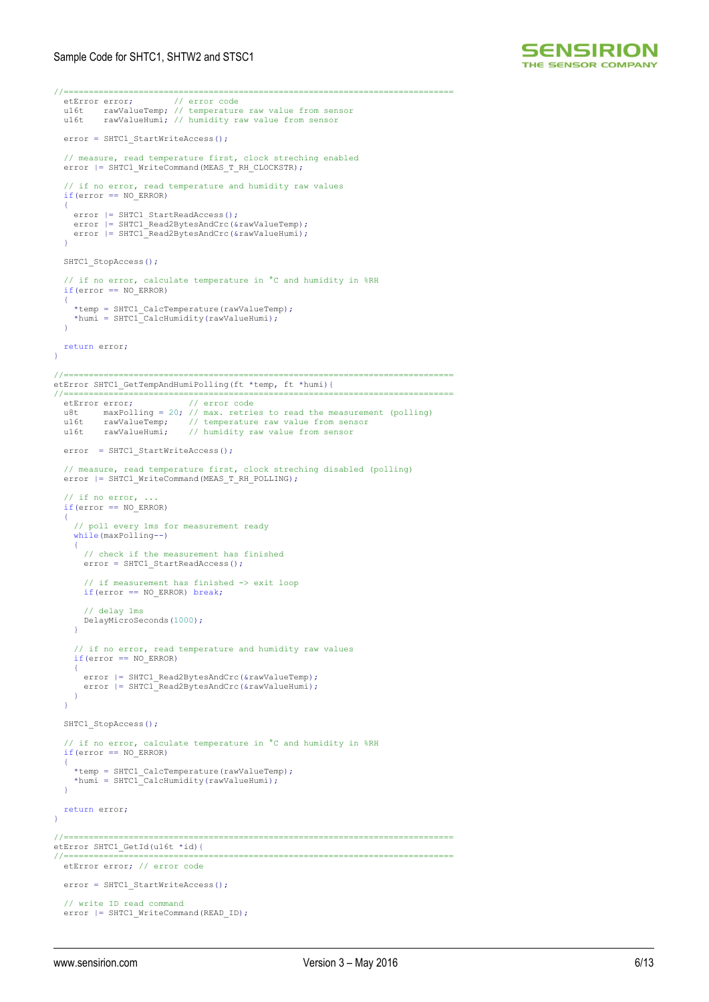

```
//==============================================================================
  etError error:
  u16t rawValueTemp; // temperature raw value from sensor
  u16t rawValueHumi; // humidity raw value from sensor
  error = SHTC1 StartWriteAccess();
   // measure, read temperature first, clock streching enabled
  error |= SHTC1_WriteCommand(MEAS_T_RH_CLOCKSTR);
 // if no error, read temperature and humidity raw values
 if(error == NO_ERROR)
\rightarrowerror | = SHTC1 StartReadAccess();
    error | = SHTC1 Read2BytesAndCrc(&rawValueTemp);
    error |= SHTC1 Read2BytesAndCrc(&rawValueHumi);
   }
  SHTC1 StopAccess();
   // if no error, calculate temperature in °C and humidity in %RH
   if(error == NO_ERROR)
   {
 *temp = SHTC1_CalcTemperature(rawValueTemp);
 *humi = SHTC1_CalcHumidity(rawValueHumi);
 }
   return error;
}
//==============================================================================
etError SHTC1_GetTempAndHumiPolling(ft *temp, ft *humi){
//==============================================================================
   etError error; // error code
 u8t maxPolling = 20; // max. retries to read the measurement (polling)
 u16t rawValueTemp; // temperature raw value from sensor
 u16t rawValueHumi; // humidity raw value from sensor
  error = SHTC1 StartWriteAccess();
// measure, read temperature first, clock streching disabled (polling)<br>error |= SHTC1 WriteCommand(MEAS T_RH_POLLING);
\frac{1}{1} if no error, ...
 if(error == NO_ERROR)
\rightarrow // poll every 1ms for measurement ready
      while(maxPolling--)
\sim \sim \sim \sim // check if the measurement has finished
        error = SHTC1_StartReadAccess();
 // if measurement has finished -> exit loop
 if(error == NO_ERROR) break;
        // delay 1ms
        DelayMicroSeconds(1000);
    \lambda // if no error, read temperature and humidity raw values
    if(error == NOERROR)\sim \sim \sim \sim error |= SHTC1_Read2BytesAndCrc(&rawValueTemp);
 error |= SHTC1_Read2BytesAndCrc(&rawValueHumi);
     }
   }
  SHTC1 StopAccess();
// if no error, calculate temperature in ^{\circ}C and humidity in RHH<br>if(error == NO ERROR)
   {
 *temp = SHTC1_CalcTemperature(rawValueTemp);
 *humi = SHTC1_CalcHumidity(rawValueHumi);
   }
   return error;
\lambda//==============================================================================
etError SHTC1 GetId(u16t *id){
//==============================================================================
   etError error; // error code
  error = SHTC1 StartWriteAccess();
 // write ID read command
 error |= SHTC1_WriteCommand(READ_ID);
```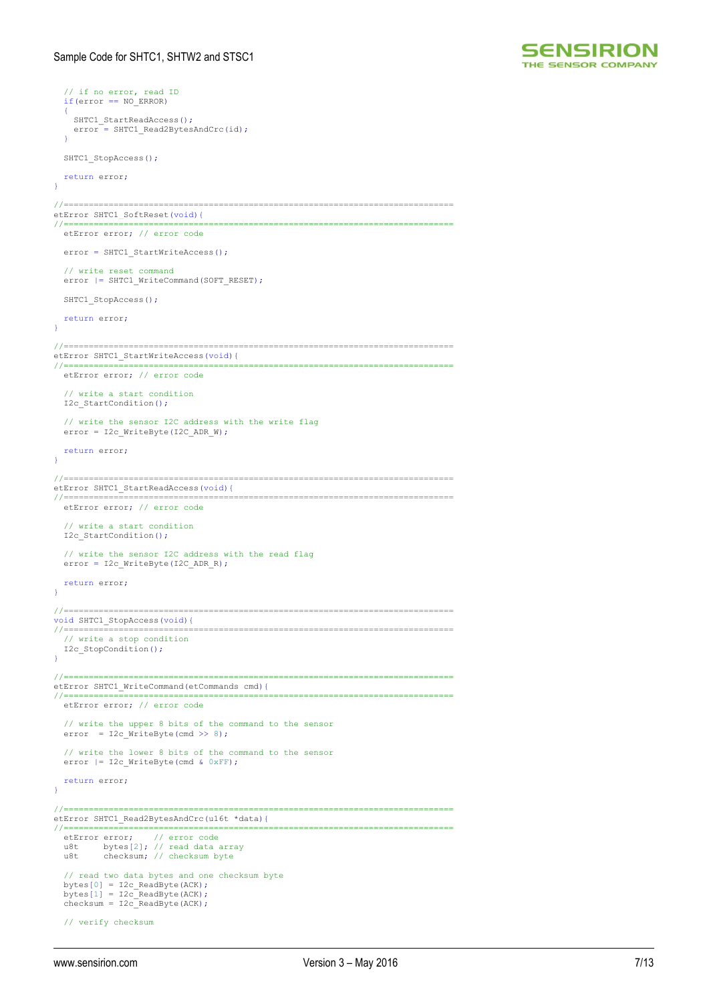

```
 // if no error, read ID
 if(error == NO_ERROR)
\rightarrowSHTC1 StartReadAccess();
    error = SHTC1_Read2BytesAndCrc(id);
   }
  SHTC1 StopAccess();
   return error;
}
//==============================================================================
etError SHTC1_SoftReset(void){
//==============================================================================
   etError error; // error code
   error = SHTC1_StartWriteAccess();
   // write reset command
  error | = SHTC1 WriteCommand(SOFT RESET);
  SHTC1 StopAccess();
   return error;
}
//==============================================================================
etError SHTC1 StartWriteAccess(void){
//==============================================================================
   etError error; // error code
   // write a start condition
   I2c_StartCondition();
// write the sensor I2C address with the write flag<br>error = I2c WriteByte(I2C ADR W);
   return error;
\lambda//==============================================================================
etError SHTC1 StartReadAccess(void){
//==============================================================================
   etError error; // error code
   // write a start condition
   I2c_StartCondition();
   // write the sensor I2C address with the read flag
   error = I2c_WriteByte(I2C_ADR_R);
   return error;
}
//==============================================================================
void SHTC1_StopAccess(void){<br>//===========================
                 //==============================================================================
   // write a stop condition
  I2c StopCondition();
}
//==============================================================================
etError SHTC1_WriteCommand(etCommands cmd){
//==============================================================================
   etError error; // error code
   // write the upper 8 bits of the command to the sensor
  error = I2c_WriteByte(cmd \gg 8); // write the lower 8 bits of the command to the sensor
  error | = 12c WriteByte(cmd & 0xFF);
   return error;
}
//==============================================================================
etError SHTC1_Read2BytesAndCrc(u16t *data){
//==============================================================================
etError error; // error code
 u8t bytes[2]; // read data array
 u8t checksum; // checksum byte
   // read two data bytes and one checksum byte
 bytes[0] = I2c_ReadByte(ACK);
 bytes[1] = I2c_ReadByte(ACK);
  \bar{\text{checksum}} = \text{I2c\_ReadByte}(\text{ACK});
   // verify checksum
```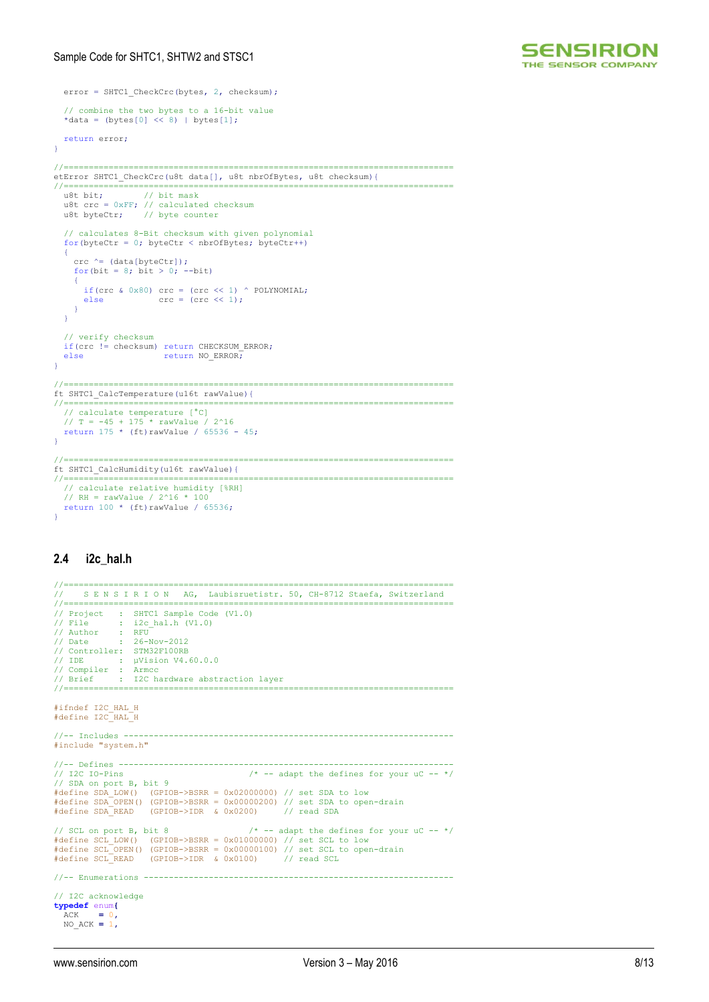

```
 error = SHTC1_CheckCrc(bytes, 2, checksum);
   // combine the two bytes to a 16-bit value
   *data = (bytes[0] << 8) | bytes[1];
   return error;
}
//==============================================================================
etError SHTC1_CheckCrc(u8t data[], u8t nbrOfBytes, u8t checksum){
//==============================================================================
 u8t bit; // bit mask
 u8t crc = 0xFF; // calculated checksum
 u8t byteCtr; // byte counter
   // calculates 8-Bit checksum with given polynomial
  for(byteCtr = 0; byteCtr < nbrOfBytes; byteCtr++)
  \{ crc ^= (data[byteCtr]);
    for(bit = 8; bit > 0; --bit)
     {
       if(crc & 0x80) crc = (crc << 1) ^ POLYNOMIAL;
       else \operatorname{crc} = (\operatorname{crc} \ll 1); }
   }
   // verify checksum
   if(crc != checksum) return CHECKSUM_ERROR;
                          return NO_ERROR;
}
                                                   //==============================================================================
ft SHTC1_CalcTemperature(u16t rawValue){
//==============================================================================
 // calculate temperature [°C]
 // T = -45 + 175 * rawValue / 2^16
 return 175 * (ft)rawValue / 65536 - 45;
}
//==============================================================================
ft SHTC1_CalcHumidity(u16t rawValue){
//==============================================================================
   // calculate relative humidity [%RH]
 // RH = rawValue / 2^16 * 100
 return 100 * (ft)rawValue / 65536;
\overline{1}
```
# **2.4 i2c\_hal.h**

```
//==============================================================================
// S E N S I R I O N AG, Laubisruetistr. 50, CH-8712 Staefa, Switzerland
//==============================================================================
// Project : SHTC1 Sample Code (V1.0)
// File : i2c_hal.h (V1.0)
// Author : RFU
// Date : 26-Nov-2012
// Controller: STM32F100RB<br>// IDE : uVision V4.
                  : µVision V4.60.0.0
// Compiler : Armcc
// Brief : I2C hardware abstraction layer 
//==============================================================================
#ifndef I2C_HAL_H
#define I2C_HAL_H
//-- Includes ------------------------------------------------------------------
#include "system.h"
//-- Defines -------------------------------------------------------------------
// I2C IO-Pins /* -- adapt the defines for your uC -- */<br>
// SDA on port B, bit 9<br>
#define SDA_LOW() (GPIOB->BSRR = 0x02000000) // set SDA to low<br>
#define SDA OPEN() (GPIOB->BSRR = 0x00000200) // set SDA to open-drain<br>
#de
// SCL on port B, bit 8 /* -- adapt the defines for your uC -- */
#define SCL_LOW() (GPIOB->BSRR = 0x01000000) // set SCL to low
#define SCL_OPEN() (GPIOB->BSRR = 0x00000100) // set SCL to open-drain
#define SCL_READ (GPIOB->IDR & 0x0100) // read SCL
//-- Enumerations --------------------------------------------------------------
// I2C acknowledge
typedef enum{
 ACK = 0,
    NO_ACK = 1,
```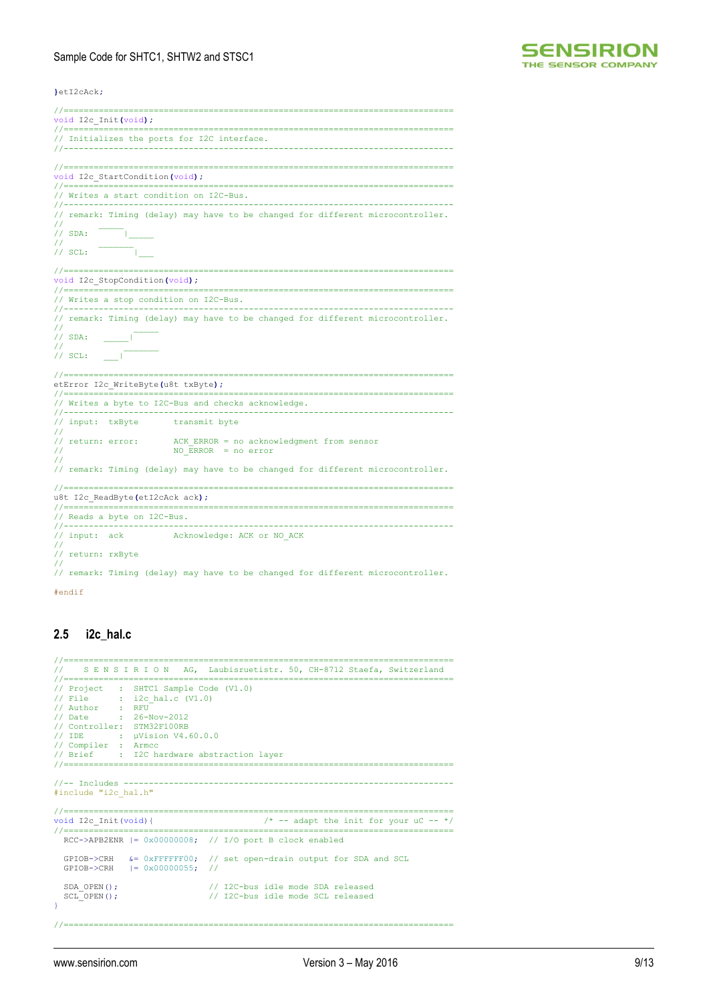

**}**etI2cAck**;**

```
//==============================================================================
void I2c_Init(void);
//==============================================================================
// Initializes the ports for I2C interface.
                       //------------------------------------------------------------------------------
//==============================================================================
void I2c_StartCondition(void);
//==============================================================================
// Writes a start condition on I2C-Bus.
//------------------------------------------------------------------------------
// remark: Timing (delay) may have to be changed for different microcontroller.
//<br>// SDA:    |
// _______
\frac{1}{\sqrt{2}} SCL:
//==============================================================================
void I2c_StopCondition(void);
//==============================================================================
// Writes a stop condition on I2C-Bus.
//------------------------------------------------------------------------------
// remark: Timing (delay) may have to be changed for different microcontroller.
// _____
// SDA: _____|
// _______
// SCL: ___|
//==============================================================================
etError I2c_WriteByte(u8t txByte);
//==============================================================================
// Writes a byte to I2C-Bus and checks acknowledge.
//------------------------------------------------------------------------------
// input: txByte transmit byte
..<br>// return: error:
                          ACK ERROR = no acknowledgment from sensor
                        NO_{\text{ERROR}} = no error
//
// remark: Timing (delay) may have to be changed for different microcontroller.
                       //==============================================================================
u8t I2c_ReadByte(etI2cAck ack);
//==============================================================================
// Reads a byte on I2C-Bus.
//------------------------------------------------------------------------------
// input: ack Acknowledge: ACK or NO ACK
//
// return: rxByte
//
// remark: Timing (delay) may have to be changed for different microcontroller.
```
#endif

# **2.5 i2c\_hal.c**

```
//=================================
     S E N S I R I O N AG, Laubisruetistr. 50, CH-8712 Staefa, Switzerland
//==============================================================================
// Project : SHTC1 Sample Code (V1.0)
// File : i2c_hal.c (V1.0)
// Author : RFU
// Date : 26-Nov-2012
// Controller: STM32F100RB
// IDE : µVision V4.60.0.0
// Compiler : Armcc
// Brief : I2C hardware abstraction layer
//==============================================================================
//-- Includes ------------------------------------------------------------------
#include "i2c_hal.h"
//==============================================================================
                                                     /* -- adapt the init for your uC -- */
//==============================================================================
 RCC->APB2ENR |= 0x00000008; // I/O port B clock enabled
 GPIOB->CRH &= 0xFFFFFF00; // set open-drain output for SDA and SCL
 GPIOB->CRH |= 0x00000055; // 
  SDA OPEN(); \frac{1}{2} // I2C-bus idle mode SDA released
  SCL_OPEN(); \frac{1}{2} // I2C-bus idle mode SCL released
}
```
//==============================================================================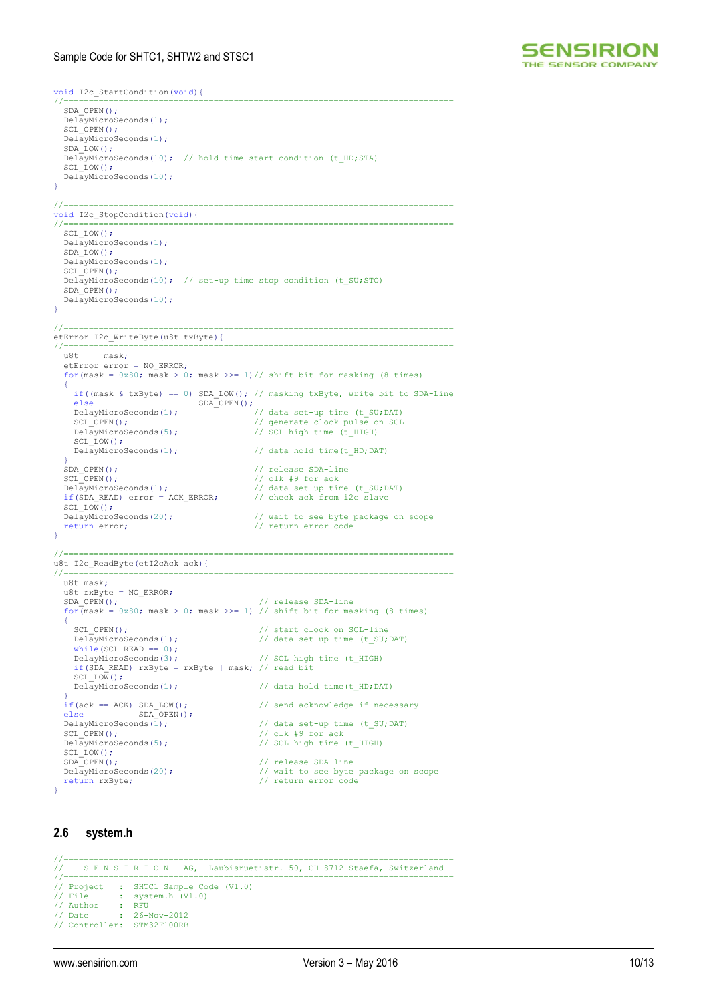

void I2c\_StartCondition(void){ //============================================================================== SDA\_OPEN(); DelayMicroSeconds(1); SCL OPEN(); DelayMicroSeconds(1);  $SDA$   $LOW()$ : DelayMicroSeconds(10); // hold time start condition (t\_HD;STA) SCL LOW $()$ ; DelayMicroSeconds(10); } //============================================================================== void I2c StopCondition(void){<br>//============================ //============================================================================== SCL LOW(); DelayMicroSeconds(1);  $\texttt{SDA\_LOW}$  ( )  $\emph{\textbf{;}}$  DelayMicroSeconds(1); SCL OPEN(); DelayMicroSeconds(10); // set-up time stop condition (t SU;STO) SDA\_OPEN(); DelayMicroSeconds(10); } //============================================================================== etError I2c\_WriteByte(u8t txByte){ //==============================================================================  $mask;$  etError error = NO\_ERROR; for(mask =  $0x80$ ; mask > 0; mask >>= 1)// shift bit for masking (8 times) { if((mask & txByte) == 0) SDA LOW(); // masking txByte, write bit to SDA-Line else SDA\_OPEN(); DelayMicroSeconds(1); <br>
SCL\_OPEN(); // generate clock pulse on SCL<br>
DelayMicroSeconds(5); // SCL high time (t\_HIGH) SCL\_LOW();<br>DelayMicroSeconds(1); // data hold time(t HD;DAT) } SDA\_OPEN();<br>SCL\_OPEN();<br> $\frac{1}{\sqrt{c}}$  release SDA-line<br> $\frac{1}{\sqrt{c}}$  release SDA-line SCL\_OPEN();<br>
SCL\_OPEN();<br>
DelayMicroSeconds(1);<br>
// data set-up tin %// data set-up time (t\_SU;DAT)<br>// check ack from i2c slave  $if(SDA" READ)$  error = ACK ERROR; SCL LOW();<br>DelayMicroSeconds(20); DelayMicroSeconds(20); // wait to see byte package on scope return error; // return error code  $\lambda$ //============================================================================== u8t I2c\_ReadByte(etI2cAck ack){ //============================================================================== u8t mask; u8t  $rxByte = NO\_ERROR;$ <br>SDA OPEN(); // release SDA-line for  $(mask = 0x80; mask > 0; mask >> 1)$  // shift bit for masking (8 times)  $\rightarrow$  { SCL OPEN(); <br>
DelayMicroSeconds(1); // data set-up time (t\_SU;DAT) while(SCL READ  $== 0$ ); DelayMicroSeconds(3); // SCL high time (t\_HIGH) if(SDA\_READ) rxByte = rxByte | mask; // read bit  $SCL\_LOW()$ ;<br>DelayMicroSeconds(1); // data hold time(t HD;DAT) }  $i$   $i$   $f$   $(ack == ACK)$  SDA LOW(); // send acknowledge if necessary else else SDA\_OPEN();<br>DelayMicroSeconds(1);  $\begin{tabular}{ll} \texttt{DelayMicrosoft}(i) \texttt{if} & \texttt{if} & \texttt{if} & \texttt{if} \\ \texttt{SCL_OPEN();} & \texttt{if} & \texttt{if} & \texttt{if} & \texttt{if} \\ \texttt{I} & \texttt{if} & \texttt{if} & \texttt{if} & \texttt{if} \\ \texttt{if} & \texttt{if} & \texttt{if} & \texttt{if} & \texttt{if} \\ \texttt{if} & \texttt{if} & \texttt{if} & \texttt{if} & \texttt{if} \\ \texttt{if} & \texttt{if} & \texttt{if} & \texttt{if} & \text$  $\frac{1}{\sqrt{2}}$  clk #9 for ack // SCL high time (t\_HIGH) DelayMicroSeconds(5);<br>SCL LOW();<br>SDA OPEN(); // release SDA-line DelayMicroSeconds(20); // wait to see byte package on scope return rxByte; // return error code }

### **2.6 system.h**

```
//==============================================================================
// S E N S I R I O N AG, Laubisruetistr. 50, CH-8712 Staefa, Switzerland
//==============================================================================
// Project : SHTC1 Sample Code (V1.0)
// File : system.h (V1.0)<br>// Rile : system.h (V1.0)<br>// Author : RFU
// Author : RFU
// Date : 26-Nov-2012
// Controller: STM32F100RB
```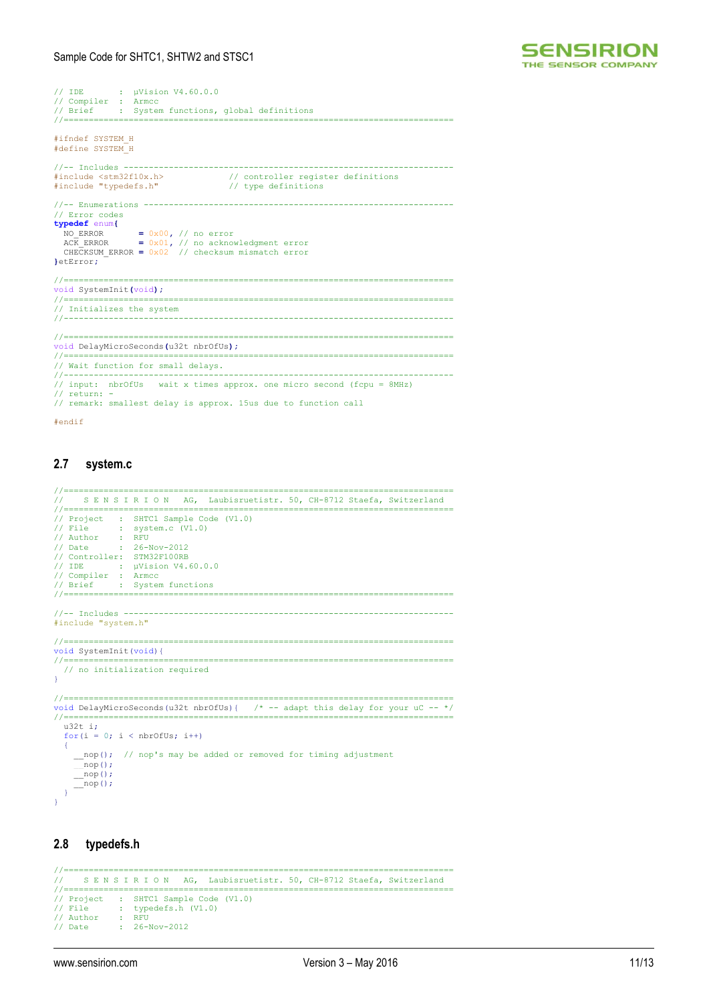

```
// IDE : µVision V4.60.0.0
// Compiler : Armcc
// Brief : System functions, global definitions
//==============================================================================
#ifndef SYSTEM_H
#define SYSTEM_H
//-- Includes -
#include <stm32f10x.h> // controller register definitions
#include "typedefs.h" // type definitions
//-- Enumerations --------------------------------------------------------------
// Error codes
typedef enum{
 NO_ERROR = 0x00, // no error
 ACK_ERROR = 0x01, // no acknowledgment error
 CHECKSUM_ERROR = 0x02 // checksum mismatch error
}etError;
//==============================================================================
void SystemInit(void);
//==============================================================================
//========================<br>// Initializes the system
//------------------------------------------------------------------------------
//==============================================================================
void DelayMicroSeconds(u32t nbrOfUs);<br>//==================================
//==============================================================================
// Wait function for small delays.<br>//-------------------------------
//------------------------------------------------------------------------------
// input: nbrOfUs wait x times approx. one micro second (fcpu = 8MHz)
// return: -
// remark: smallest delay is approx. 15us due to function call
#endif
```
# **2.7 system.c**

```
//==============================================================================
// S E N S I R I O N AG, Laubisruetistr. 50, CH-8712 Staefa, Switzerland
//=============================
)<br>// Project : SHTC1 Sample Code (V1.0)<br>// File : system.c (V1.0)
// File : system.c (V1.0)
// Author : RFU
// Date : 26-Nov-2012
// Controller: STM32F100RB
// IDE : µVision V4.60.0.0
// Compiler : Armcc
// Brief : System functions
//==============================================================================
1/1 - Includes ------#include "system.h"
//==============================================================================
void SystemInit(void){<br>//=====================
//==============================================================================
   // no initialization required
}
//==============================================================================
void DelayMicroSeconds(u32t nbrOfUs){ /* -- adapt this delay for your uC -- */
//==============================================================================
  u32t + 3for(i = 0; i < nbrOfUs; i++)
\left\langle \cdot \right\ranglenop(); // nop's may be added or removed for timing adjustment
       nop();
       \bar{\text{pop}}();
      __nop();
   }
}
```
# **2.8 typedefs.h**

```
//==============================================================================
// S E N S I R I O N AG, Laubisruetistr. 50, CH-8712 Staefa, Switzerland
//==============================================================================
// Project : SHTC1 Sample Code (V1.0)<br>// File : typedefs.h (V1.0)
// File : typedefs.h (V1.0)
// Author : RFU
// Date : 26-Nov-2012
```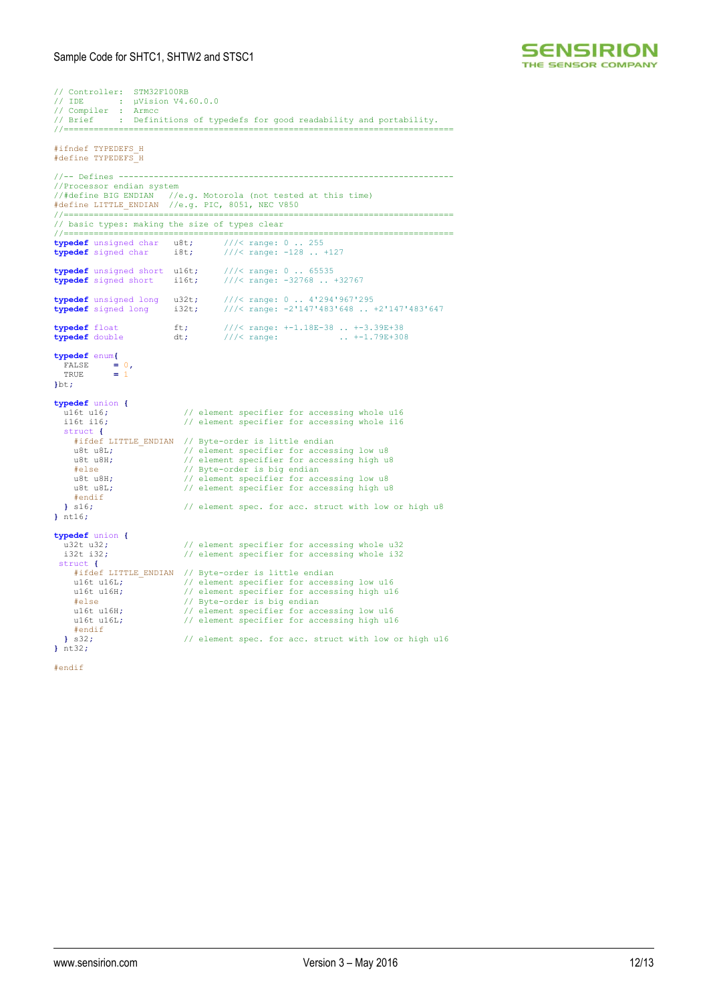

```
// Controller: STM32F100RB
// IDE : µVision V4.60.0.0
// Compiler : Armcc
// Brief : Definitions of typedefs for good readability and portability.
//==============================================================================
#ifndef TYPEDEFS_H
#define TYPEDEFS_H
//-- Defines -------------------------------------------------------------------
//Processor endian system
//#define BIG ENDIAN //e.g. Motorola (not tested at this time)
#define LITTLE_ENDIAN //e.g. PIC, 8051, NEC V850
             //==============================================================================
// basic types: making the size of types clear
//==============================================================================
typedef unsigned char u8t; ///< range: 0 .. 255
typedef signed char i8t; ///< range: -128 .. +127

typedef unsigned short u16t; ///< range: 0 .. 65535
typedef signed short i16t; ///< range: -32768 .. +32767

typedef unsigned long u32t; ///< range: 0 .. 4'294'967'295
typedef signed long i32t; ///< range: -2'147'483'648 .. +2'147'483'647
typedef float
typedef float ft; ///< range: +-1.18E-38 .. +-3.39E+38
typedef double dt; ///< range: .. +-1.79E+308
typedef enum{
 FALSE = 0,
 TRUE = 1
}bt;
typedef union {
   under under the unit of the unit of the unit of the unit of the unit of the unit of the unit of the unit of the<br>infinite intervals the unit of the unit of the unit of the unit of the unit of the unit of the unit of the uni
                                       // element specifier for accessing whole i16
    struct {
       #ifdef LITTLE_ENDIAN // Byte-order is little endian
u8t u8L;                   // element specifier for accessing low u8<br>u8t u8H;                       // element specifier for accessing high u8
 #else // Byte-order is big endian
 u8t u8H; // element specifier for accessing low u8
 u8t u8L; // element specifier for accessing high u8
   #endif<br>|s16:// element spec. for acc. struct with low or high u8
} nt16;
typedef union {
   u32t u32; \frac{1}{22} // element specifier for accessing whole u32<br>i32t i32; // element specifier for accessing whole i32
                                       // element specifier for accessing whole i32
struct {
 #ifdef LITTLE_ENDIAN // Byte-order is little endian
u16t u16L; \frac{1}{6} element specifier for accessing low u16<br>u16t u16H; \frac{1}{6} element specifier for accessing high u16
 #else // Byte-order is big endian
 u16t u16H; // element specifier for accessing low u16
 u16t u16L; // element specifier for accessing high u16
   #endif<br>} s32:I/ element spec. for acc. struct with low or high u16
} nt32;
```
#endif